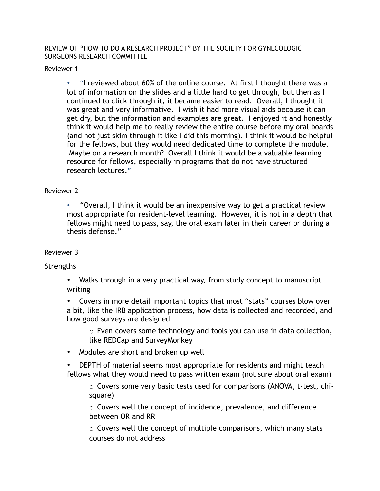REVIEW OF "HOW TO DO A RESEARCH PROJECT" BY THE SOCIETY FOR GYNECOLOGIC SURGEONS RESEARCH COMMITTEE

Reviewer 1

• "I reviewed about 60% of the online course. At first I thought there was a lot of information on the slides and a little hard to get through, but then as I continued to click through it, it became easier to read. Overall, I thought it was great and very informative. I wish it had more visual aids because it can get dry, but the information and examples are great. I enjoyed it and honestly think it would help me to really review the entire course before my oral boards (and not just skim through it like I did this morning). I think it would be helpful for the fellows, but they would need dedicated time to complete the module. Maybe on a research month? Overall I think it would be a valuable learning resource for fellows, especially in programs that do not have structured research lectures."

## Reviewer 2

• "Overall, I think it would be an inexpensive way to get a practical review most appropriate for resident-level learning. However, it is not in a depth that fellows might need to pass, say, the oral exam later in their career or during a thesis defense."

## Reviewer 3

## **Strengths**

• Walks through in a very practical way, from study concept to manuscript writing

• Covers in more detail important topics that most "stats" courses blow over a bit, like the IRB application process, how data is collected and recorded, and how good surveys are designed

 $\circ$  Even covers some technology and tools you can use in data collection, like REDCap and SurveyMonkey

• Modules are short and broken up well

• DEPTH of material seems most appropriate for residents and might teach fellows what they would need to pass written exam (not sure about oral exam)

 $\circ$  Covers some very basic tests used for comparisons (ANOVA, t-test, chisquare)

o Covers well the concept of incidence, prevalence, and difference between OR and RR

o Covers well the concept of multiple comparisons, which many stats courses do not address